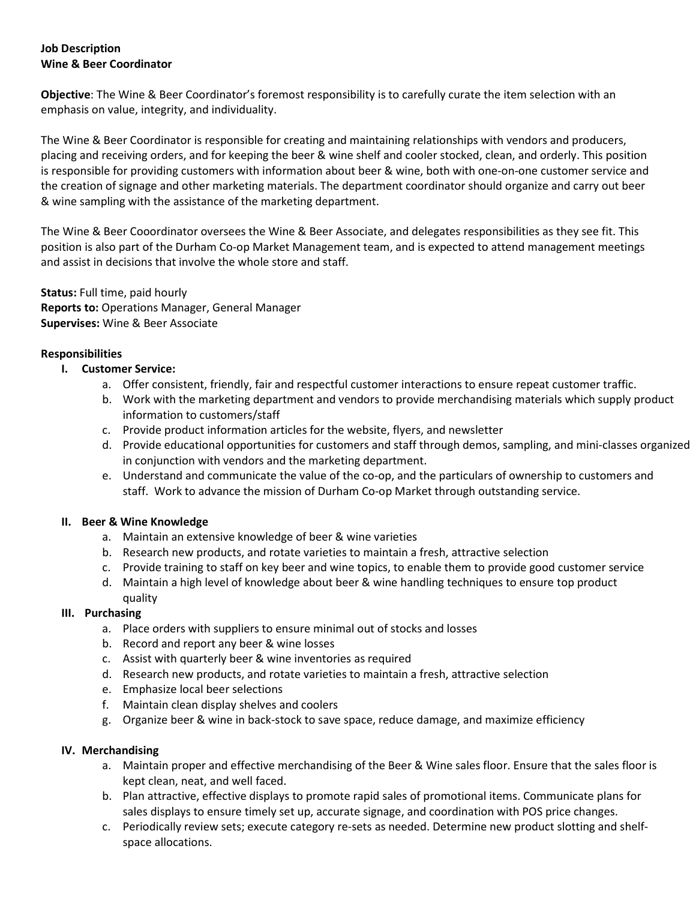# Job Description Wine & Beer Coordinator

Objective: The Wine & Beer Coordinator's foremost responsibility is to carefully curate the item selection with an emphasis on value, integrity, and individuality.

The Wine & Beer Coordinator is responsible for creating and maintaining relationships with vendors and producers, placing and receiving orders, and for keeping the beer & wine shelf and cooler stocked, clean, and orderly. This position is responsible for providing customers with information about beer & wine, both with one-on-one customer service and the creation of signage and other marketing materials. The department coordinator should organize and carry out beer & wine sampling with the assistance of the marketing department.

The Wine & Beer Cooordinator oversees the Wine & Beer Associate, and delegates responsibilities as they see fit. This position is also part of the Durham Co-op Market Management team, and is expected to attend management meetings and assist in decisions that involve the whole store and staff.

Status: Full time, paid hourly Reports to: Operations Manager, General Manager Supervises: Wine & Beer Associate

### **Responsibilities**

- I. Customer Service:
	- a. Offer consistent, friendly, fair and respectful customer interactions to ensure repeat customer traffic.
	- b. Work with the marketing department and vendors to provide merchandising materials which supply product information to customers/staff
	- c. Provide product information articles for the website, flyers, and newsletter
	- d. Provide educational opportunities for customers and staff through demos, sampling, and mini-classes organized in conjunction with vendors and the marketing department.
	- e. Understand and communicate the value of the co-op, and the particulars of ownership to customers and staff. Work to advance the mission of Durham Co-op Market through outstanding service.

#### II. Beer & Wine Knowledge

- a. Maintain an extensive knowledge of beer & wine varieties
- b. Research new products, and rotate varieties to maintain a fresh, attractive selection
- c. Provide training to staff on key beer and wine topics, to enable them to provide good customer service
- d. Maintain a high level of knowledge about beer & wine handling techniques to ensure top product quality

#### III. Purchasing

- a. Place orders with suppliers to ensure minimal out of stocks and losses
- b. Record and report any beer & wine losses
- c. Assist with quarterly beer & wine inventories as required
- d. Research new products, and rotate varieties to maintain a fresh, attractive selection
- e. Emphasize local beer selections
- f. Maintain clean display shelves and coolers
- g. Organize beer & wine in back-stock to save space, reduce damage, and maximize efficiency

#### IV. Merchandising

- a. Maintain proper and effective merchandising of the Beer & Wine sales floor. Ensure that the sales floor is kept clean, neat, and well faced.
- b. Plan attractive, effective displays to promote rapid sales of promotional items. Communicate plans for sales displays to ensure timely set up, accurate signage, and coordination with POS price changes.
- c. Periodically review sets; execute category re-sets as needed. Determine new product slotting and shelfspace allocations.